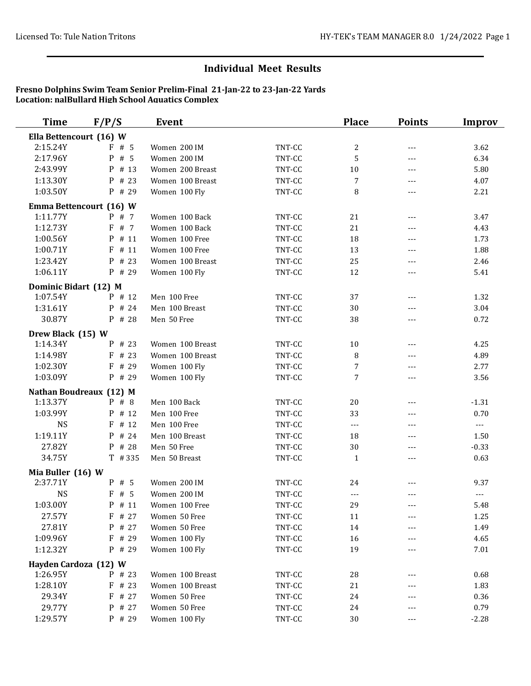| <b>Time</b>             | F/P/S                   | Event            |          | <b>Place</b>         | <b>Points</b>       | <b>Improv</b> |
|-------------------------|-------------------------|------------------|----------|----------------------|---------------------|---------------|
| Ella Bettencourt (16) W |                         |                  |          |                      |                     |               |
| 2:15.24Y                | F#5                     | Women 200 IM     | TNT-CC   | $\sqrt{2}$           | $---$               | 3.62          |
| 2:17.96Y                | P # 5                   | Women 200 IM     | TNT-CC   | 5                    | $---$               | 6.34          |
| 2:43.99Y                | P # 13                  | Women 200 Breast | TNT-CC   | $10\,$               | ---                 | 5.80          |
| 1:13.30Y                | P # 23                  | Women 100 Breast | TNT-CC   | 7                    | $---$               | 4.07          |
| 1:03.50Y                | $P$ # 29                | Women 100 Fly    | TNT-CC   | 8                    | ---                 | 2.21          |
|                         | Emma Bettencourt (16) W |                  |          |                      |                     |               |
| 1:11.77Y                | P # 7                   | Women 100 Back   | TNT-CC   | 21                   | $---$               | 3.47          |
| 1:12.73Y                | F # 7                   | Women 100 Back   | TNT-CC   | 21                   | $- - -$             | 4.43          |
| 1:00.56Y                | P # 11                  | Women 100 Free   | TNT-CC   | 18                   | $\overline{a}$      | 1.73          |
| 1:00.71Y                | $F$ # 11                | Women 100 Free   | TNT-CC   | 13                   | $\qquad \qquad - -$ | 1.88          |
| 1:23.42Y                | P # 23                  | Women 100 Breast | TNT-CC   | 25                   | $---$               | 2.46          |
| 1:06.11Y                | P # 29                  | Women 100 Fly    | TNT-CC   | 12                   | $---$               | 5.41          |
| Dominic Bidart (12) M   |                         |                  |          |                      |                     |               |
| 1:07.54Y                | P # 12                  | Men 100 Free     | TNT-CC   | 37                   | $---$               | 1.32          |
| 1:31.61Y                | P # 24                  | Men 100 Breast   | TNT-CC   | 30                   | $---$               | 3.04          |
| 30.87Y                  | P # 28                  | Men 50 Free      | TNT-CC   | 38                   | $---$               | 0.72          |
| Drew Black (15) W       |                         |                  |          |                      |                     |               |
| 1:14.34Y                | P # 23                  | Women 100 Breast | TNT-CC   | $10\,$               | $---$               | 4.25          |
| 1:14.98Y                | # 23<br>F               | Women 100 Breast | TNT-CC   | 8                    | ---                 | 4.89          |
| 1:02.30Y                | F # 29                  | Women 100 Fly    | TNT-CC   | 7                    | $---$               | 2.77          |
| 1:03.09Y                | $P$ # 29                | Women 100 Fly    | TNT-CC   | 7                    | ---                 | 3.56          |
|                         | Nathan Boudreaux (12) M |                  |          |                      |                     |               |
| 1:13.37Y                | $P$ # 8                 | Men 100 Back     | TNT-CC   | 20                   | $---$               | $-1.31$       |
| 1:03.99Y                | P # 12                  | Men 100 Free     | TNT-CC   | 33                   | $- - -$             | 0.70          |
| <b>NS</b>               | $F$ # 12                | Men 100 Free     | TNT-CC   | $\sim$ $\sim$ $\sim$ | $---$               | $---$         |
| 1:19.11Y                | P # 24                  | Men 100 Breast   | TNT-CC   | 18                   | $- - -$             | 1.50          |
| 27.82Y                  | P # 28                  | Men 50 Free      | TNT-CC   | 30                   | ---                 | $-0.33$       |
| 34.75Y                  | $T$ # 335               | Men 50 Breast    | TNT-CC   | $\mathbf{1}$         | ---                 | 0.63          |
| Mia Buller (16) W       |                         |                  |          |                      |                     |               |
| 2:37.71Y                | P # 5                   | Women 200 IM     | TNT-CC   | 24                   |                     | 9.37          |
| <b>NS</b>               | F#5                     | Women 200 IM     | TNT-CC   | $---$                | $---$               | $---$         |
| 1:03.00Y                | $P$ # 11                | Women 100 Free   | $TNT-CC$ | 29                   |                     | 5.48          |
| 27.57Y                  | F # 27                  | Women 50 Free    | TNT-CC   | 11                   | ---                 | 1.25          |
| 27.81Y                  | P # 27                  | Women 50 Free    | TNT-CC   | 14                   | ---                 | 1.49          |
| 1:09.96Y                | F # 29                  | Women 100 Fly    | TNT-CC   | 16                   | ---                 | 4.65          |
| 1:12.32Y                | $P$ # 29                | Women 100 Fly    | TNT-CC   | 19                   | ---                 | 7.01          |
| Hayden Cardoza (12) W   |                         |                  |          |                      |                     |               |
| 1:26.95Y                | $P$ # 23                | Women 100 Breast | TNT-CC   | 28                   |                     | 0.68          |
| 1:28.10Y                | $F$ # 23                | Women 100 Breast | TNT-CC   | 21                   |                     | 1.83          |
| 29.34Y                  | F # 27                  | Women 50 Free    | TNT-CC   | 24                   |                     | 0.36          |
| 29.77Y                  | P # 27                  | Women 50 Free    | TNT-CC   | 24                   | ---                 | 0.79          |
| 1:29.57Y                | P # 29                  | Women 100 Fly    | TNT-CC   | 30                   | $---$               | $-2.28$       |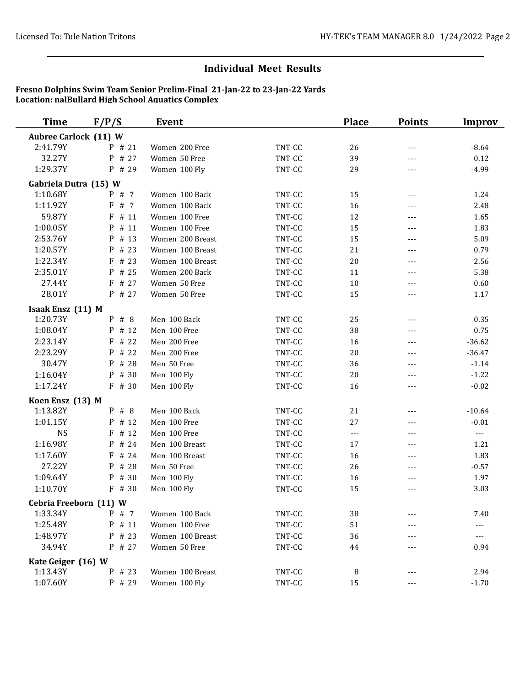| <b>Time</b>                  | F/P/S     | <b>Event</b>     |        | <b>Place</b>        | <b>Points</b> | Improv         |
|------------------------------|-----------|------------------|--------|---------------------|---------------|----------------|
| <b>Aubree Carlock (11) W</b> |           |                  |        |                     |               |                |
| 2:41.79Y                     | P # 21    | Women 200 Free   | TNT-CC | 26                  | $---$         | $-8.64$        |
| 32.27Y                       | P<br># 27 | Women 50 Free    | TNT-CC | 39                  | $---$         | 0.12           |
| 1:29.37Y                     | P # 29    | Women 100 Fly    | TNT-CC | 29                  | ---           | $-4.99$        |
| Gabriela Dutra (15) W        |           |                  |        |                     |               |                |
| 1:10.68Y                     | P # 7     | Women 100 Back   | TNT-CC | 15                  | $---$         | 1.24           |
| 1:11.92Y                     | F<br># 7  | Women 100 Back   | TNT-CC | 16                  | $---$         | 2.48           |
| 59.87Y                       | F<br># 11 | Women 100 Free   | TNT-CC | 12                  | $---$         | 1.65           |
| 1:00.05Y                     | P # 11    | Women 100 Free   | TNT-CC | 15                  | $---$         | 1.83           |
| 2:53.76Y                     | $P$ # 13  | Women 200 Breast | TNT-CC | 15                  | $---$         | 5.09           |
| 1:20.57Y                     | $P$ # 23  | Women 100 Breast | TNT-CC | 21                  | $---$         | 0.79           |
| 1:22.34Y                     | F<br># 23 | Women 100 Breast | TNT-CC | $20\,$              | $---$         | 2.56           |
| 2:35.01Y                     | # 25<br>P | Women 200 Back   | TNT-CC | 11                  | $---$         | 5.38           |
| 27.44Y                       | F<br># 27 | Women 50 Free    | TNT-CC | 10                  | $---$         | 0.60           |
| 28.01Y                       | P # 27    | Women 50 Free    | TNT-CC | 15                  | $---$         | 1.17           |
| Isaak Ensz (11) M            |           |                  |        |                     |               |                |
| 1:20.73Y                     | $P$ # 8   | Men 100 Back     | TNT-CC | 25                  | $---$         | 0.35           |
| 1:08.04Y                     | P<br># 12 | Men 100 Free     | TNT-CC | 38                  | $---$         | 0.75           |
| 2:23.14Y                     | F<br># 22 | Men 200 Free     | TNT-CC | 16                  | $---$         | $-36.62$       |
| 2:23.29Y                     | P # 22    | Men 200 Free     | TNT-CC | $20\,$              | $---$         | $-36.47$       |
| 30.47Y                       | P # 28    | Men 50 Free      | TNT-CC | 36                  | $---$         | $-1.14$        |
| 1:16.04Y                     | P # 30    | Men 100 Fly      | TNT-CC | 20                  | $---$         | $-1.22$        |
| 1:17.24Y                     | F # 30    | Men 100 Fly      | TNT-CC | 16                  | $---$         | $-0.02$        |
| Koen Ensz (13) M             |           |                  |        |                     |               |                |
| 1:13.82Y                     | $P$ # 8   | Men 100 Back     | TNT-CC | 21                  | $---$         | $-10.64$       |
| 1:01.15Y                     | P # 12    | Men 100 Free     | TNT-CC | 27                  | $---$         | $-0.01$        |
| <b>NS</b>                    | # 12<br>F | Men 100 Free     | TNT-CC | $\qquad \qquad - -$ | $---$         | $\overline{a}$ |
| 1:16.98Y                     | P<br># 24 | Men 100 Breast   | TNT-CC | 17                  | $---$         | 1.21           |
| 1:17.60Y                     | # 24<br>F | Men 100 Breast   | TNT-CC | 16                  | $---$         | 1.83           |
| 27.22Y                       | P # 28    | Men 50 Free      | TNT-CC | 26                  | $---$         | $-0.57$        |
| 1:09.64Y                     | # 30<br>P | Men 100 Fly      | TNT-CC | 16                  | $---$         | 1.97           |
| 1:10.70Y                     | $F$ # 30  | Men 100 Fly      | TNT-CC | 15                  | ---           | 3.03           |
| Cebria Freeborn (11) W       |           |                  |        |                     |               |                |
| 1:33.34Y                     | $P$ # 7   | Women 100 Back   | TNT-CC | 38                  |               | 7.40           |
| 1:25.48Y                     | P # 11    | Women 100 Free   | TNT-CC | 51                  |               | ---            |
| 1:48.97Y                     | $P$ # 23  | Women 100 Breast | TNT-CC | 36                  |               | $---$          |
| 34.94Y                       | P # 27    | Women 50 Free    | TNT-CC | 44                  |               | 0.94           |
| Kate Geiger (16) W           |           |                  |        |                     |               |                |
| 1:13.43Y                     | P # 23    | Women 100 Breast | TNT-CC | 8                   |               | 2.94           |
| 1:07.60Y                     | P # 29    | Women 100 Fly    | TNT-CC | 15                  | $---$         | $-1.70$        |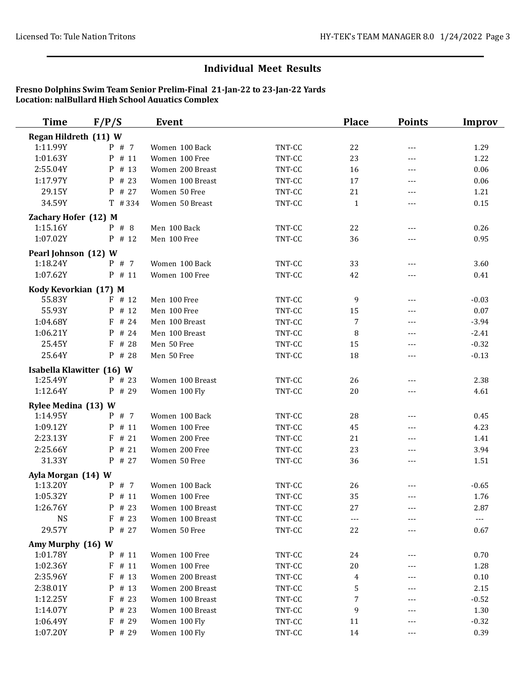| <b>Time</b>           | F/P/S                     | Event            |        | <b>Place</b> | <b>Points</b> | Improv  |
|-----------------------|---------------------------|------------------|--------|--------------|---------------|---------|
| Regan Hildreth (11) W |                           |                  |        |              |               |         |
| 1:11.99Y              | P # 7                     | Women 100 Back   | TNT-CC | 22           | $---$         | 1.29    |
| 1:01.63Y              | P # 11                    | Women 100 Free   | TNT-CC | 23           | $---$         | 1.22    |
| 2:55.04Y              | P # 13                    | Women 200 Breast | TNT-CC | 16           | $---$         | 0.06    |
| 1:17.97Y              | P # 23                    | Women 100 Breast | TNT-CC | 17           | $---$         | 0.06    |
| 29.15Y                | $P$ # 27                  | Women 50 Free    | TNT-CC | 21           | $---$         | 1.21    |
| 34.59Y                | $T$ # 334                 | Women 50 Breast  | TNT-CC | $\mathbf{1}$ | $---$         | 0.15    |
| Zachary Hofer (12) M  |                           |                  |        |              |               |         |
| 1:15.16Y              | $P$ # 8                   | Men 100 Back     | TNT-CC | 22           | $---$         | 0.26    |
| 1:07.02Y              | P # 12                    | Men 100 Free     | TNT-CC | 36           | $---$         | 0.95    |
| Pearl Johnson (12) W  |                           |                  |        |              |               |         |
| 1:18.24Y              | P # 7                     | Women 100 Back   | TNT-CC | 33           | $---$         | 3.60    |
| 1:07.62Y              | $P$ # 11                  | Women 100 Free   | TNT-CC | 42           | $---$         | 0.41    |
| Kody Kevorkian (17) M |                           |                  |        |              |               |         |
| 55.83Y                | $F$ # 12                  | Men 100 Free     | TNT-CC | 9            | $---$         | $-0.03$ |
| 55.93Y                | P # 12                    | Men 100 Free     | TNT-CC | 15           | $---$         | 0.07    |
| 1:04.68Y              | F # 24                    | Men 100 Breast   | TNT-CC | 7            | ---           | $-3.94$ |
| 1:06.21Y              | P # 24                    | Men 100 Breast   | TNT-CC | 8            | $---$         | $-2.41$ |
| 25.45Y                | F # 28                    | Men 50 Free      | TNT-CC | 15           | $---$         | $-0.32$ |
| 25.64Y                | P # 28                    | Men 50 Free      | TNT-CC | 18           | $---$         | $-0.13$ |
|                       | Isabella Klawitter (16) W |                  |        |              |               |         |
| 1:25.49Y              | P # 23                    | Women 100 Breast | TNT-CC | 26           | $---$         | 2.38    |
| 1:12.64Y              | P # 29                    | Women 100 Fly    | TNT-CC | 20           |               | 4.61    |
| Rylee Medina (13) W   |                           |                  |        |              |               |         |
| 1:14.95Y              | P # 7                     | Women 100 Back   | TNT-CC | 28           | $---$         | 0.45    |
| 1:09.12Y              | P # 11                    | Women 100 Free   | TNT-CC | 45           | $---$         | 4.23    |
| 2:23.13Y              | $F$ # 21                  | Women 200 Free   | TNT-CC | 21           | $---$         | 1.41    |
| 2:25.66Y              | P # 21                    | Women 200 Free   | TNT-CC | 23           | $---$         | 3.94    |
| 31.33Y                | P # 27                    | Women 50 Free    | TNT-CC | 36           | ---           | 1.51    |
| Ayla Morgan (14) W    |                           |                  |        |              |               |         |
| 1:13.20Y              | $P$ # 7                   | Women 100 Back   | TNT-CC | 26           |               | $-0.65$ |
| 1:05.32Y              | $P$ # 11                  | Women 100 Free   | TNT-CC | 35           | $---$         | 1.76    |
| 1:26.76Y              | P # 23                    | Women 100 Breast | TNT-CC | 27           | ---           | 2.87    |
| <b>NS</b>             | $F$ # 23                  | Women 100 Breast | TNT-CC | $---$        |               | $---$   |
| 29.57Y                | $P$ # 27                  | Women 50 Free    | TNT-CC | 22           |               | 0.67    |
| Amy Murphy (16) W     |                           |                  |        |              |               |         |
| 1:01.78Y              | P # 11                    | Women 100 Free   | TNT-CC | 24           | ---           | 0.70    |
| 1:02.36Y              | $F$ # 11                  | Women 100 Free   | TNT-CC | 20           |               | 1.28    |
| 2:35.96Y              | $F$ # 13                  | Women 200 Breast | TNT-CC | 4            | ---           | 0.10    |
| 2:38.01Y              | P # 13                    | Women 200 Breast | TNT-CC | $\mathsf S$  |               | 2.15    |
| 1:12.25Y              | $F$ # 23                  | Women 100 Breast | TNT-CC | $\sqrt{ }$   | $---$         | $-0.52$ |
| 1:14.07Y              | P # 23                    | Women 100 Breast | TNT-CC | 9            | ---           | 1.30    |
| 1:06.49Y              | F # 29                    | Women 100 Fly    | TNT-CC | 11           | $---$         | $-0.32$ |
| 1:07.20Y              | P # 29                    | Women 100 Fly    | TNT-CC | 14           | $---$         | 0.39    |